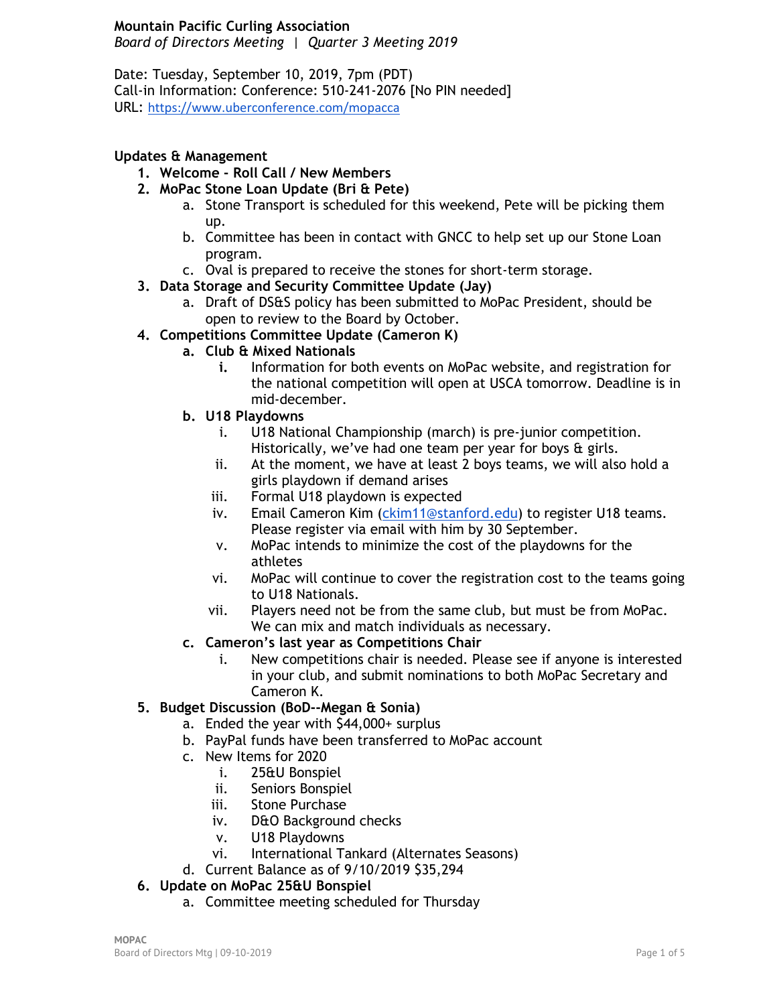#### **Mountain Pacific Curling Association**

*Board of Directors Meeting | Quarter 3 Meeting 2019*

Date: Tuesday, September 10, 2019, 7pm (PDT) Call-in Information: Conference: 510-241-2076 [No PIN needed] URL: <https://www.uberconference.com/mopacca>

### **Updates & Management**

- **1. Welcome - Roll Call / New Members**
- **2. MoPac Stone Loan Update (Bri & Pete)**
	- a. Stone Transport is scheduled for this weekend, Pete will be picking them up.
	- b. Committee has been in contact with GNCC to help set up our Stone Loan program.
	- c. Oval is prepared to receive the stones for short-term storage.
- **3. Data Storage and Security Committee Update (Jay)**
	- a. Draft of DS&S policy has been submitted to MoPac President, should be open to review to the Board by October.
- **4. Competitions Committee Update (Cameron K)**
	- **a. Club & Mixed Nationals**
		- **i.** Information for both events on MoPac website, and registration for the national competition will open at USCA tomorrow. Deadline is in mid-december.
	- **b. U18 Playdowns**
		- i. U18 National Championship (march) is pre-junior competition. Historically, we've had one team per year for boys & girls.
		- ii. At the moment, we have at least 2 boys teams, we will also hold a girls playdown if demand arises
		- iii. Formal U18 playdown is expected
		- iv. Email Cameron Kim [\(ckim11@stanford.edu\)](mailto:ckim11@stanford.edu) to register U18 teams. Please register via email with him by 30 September.
		- v. MoPac intends to minimize the cost of the playdowns for the athletes
		- vi. MoPac will continue to cover the registration cost to the teams going to U18 Nationals.
		- vii. Players need not be from the same club, but must be from MoPac. We can mix and match individuals as necessary.
	- **c. Cameron's last year as Competitions Chair**
		- i. New competitions chair is needed. Please see if anyone is interested in your club, and submit nominations to both MoPac Secretary and Cameron K.

### **5. Budget Discussion (BoD--Megan & Sonia)**

- a. Ended the year with \$44,000+ surplus
- b. PayPal funds have been transferred to MoPac account
- c. New Items for 2020
	- i. 25&U Bonspiel
	- ii. Seniors Bonspiel
	- iii. Stone Purchase
	- iv. D&O Background checks
	- v. U18 Playdowns
	- vi. International Tankard (Alternates Seasons)
- d. Current Balance as of 9/10/2019 \$35,294
- **6. Update on MoPac 25&U Bonspiel**
	- a. Committee meeting scheduled for Thursday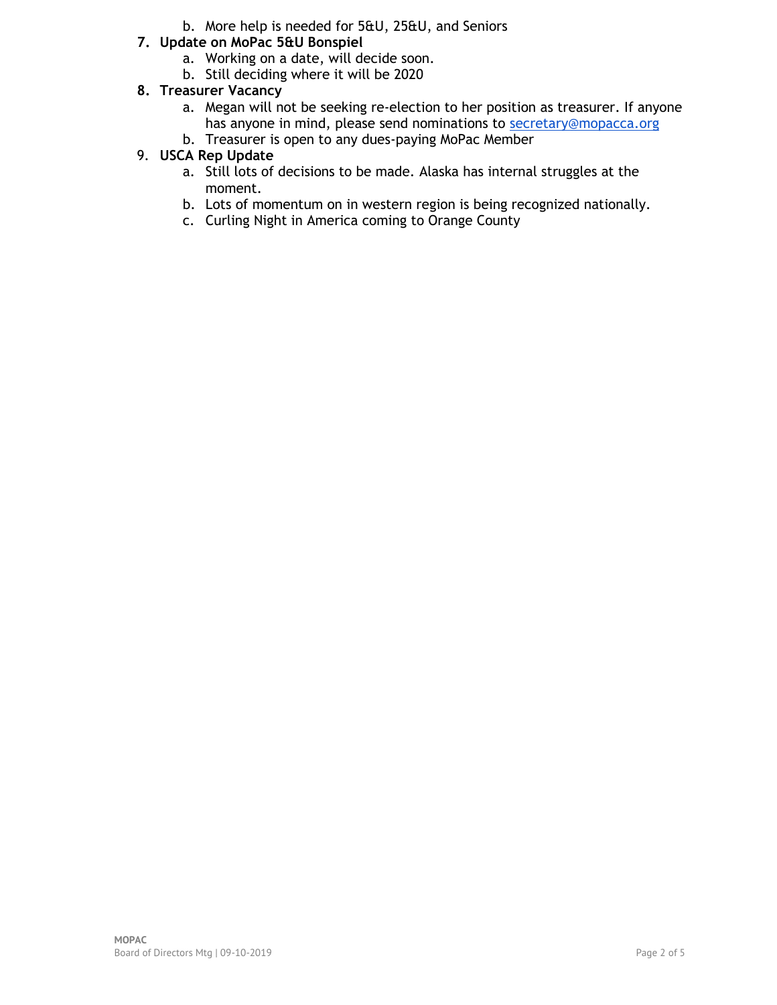- b. More help is needed for 5&U, 25&U, and Seniors
- **7. Update on MoPac 5&U Bonspiel**
	- a. Working on a date, will decide soon.
	- b. Still deciding where it will be 2020
- **8. Treasurer Vacancy**
	- a. Megan will not be seeking re-election to her position as treasurer. If anyone has anyone in mind, please send nominations to [secretary@mopacca.org](mailto:secretary@mopacca.org)
	- b. Treasurer is open to any dues-paying MoPac Member

## 9. **USCA Rep Update**

- a. Still lots of decisions to be made. Alaska has internal struggles at the moment.
- b. Lots of momentum on in western region is being recognized nationally.
- c. Curling Night in America coming to Orange County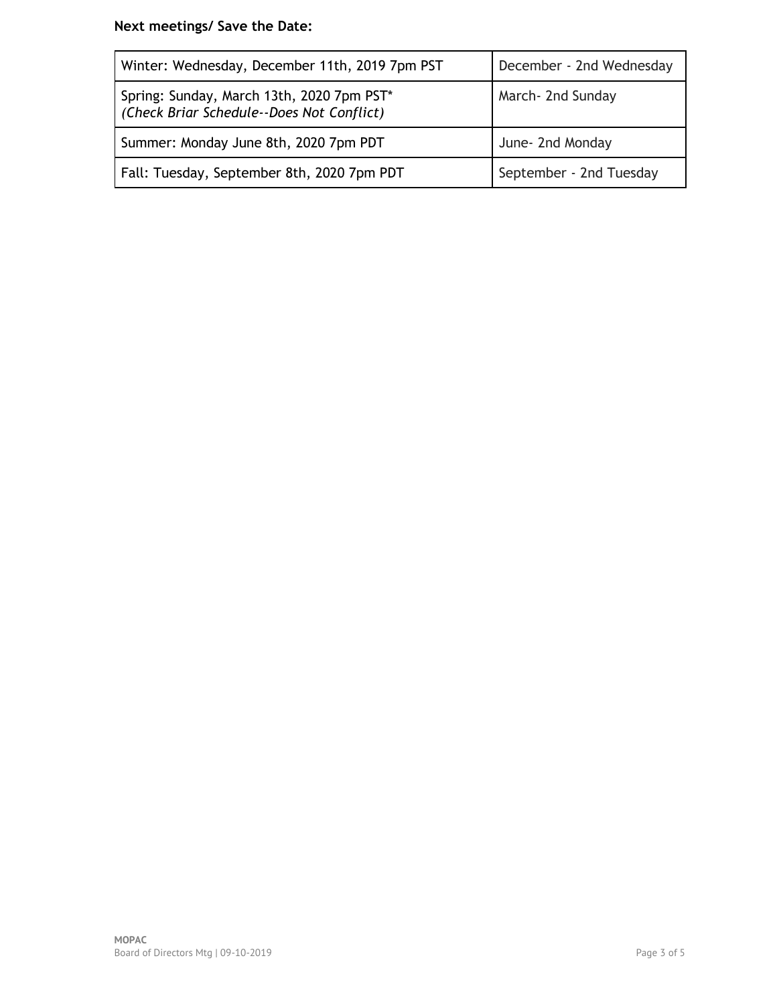# **Next meetings/ Save the Date:**

| Winter: Wednesday, December 11th, 2019 7pm PST                                         | December - 2nd Wednesday |
|----------------------------------------------------------------------------------------|--------------------------|
| Spring: Sunday, March 13th, 2020 7pm PST*<br>(Check Briar Schedule--Does Not Conflict) | March- 2nd Sunday        |
| Summer: Monday June 8th, 2020 7pm PDT                                                  | June- 2nd Monday         |
| Fall: Tuesday, September 8th, 2020 7pm PDT                                             | September - 2nd Tuesday  |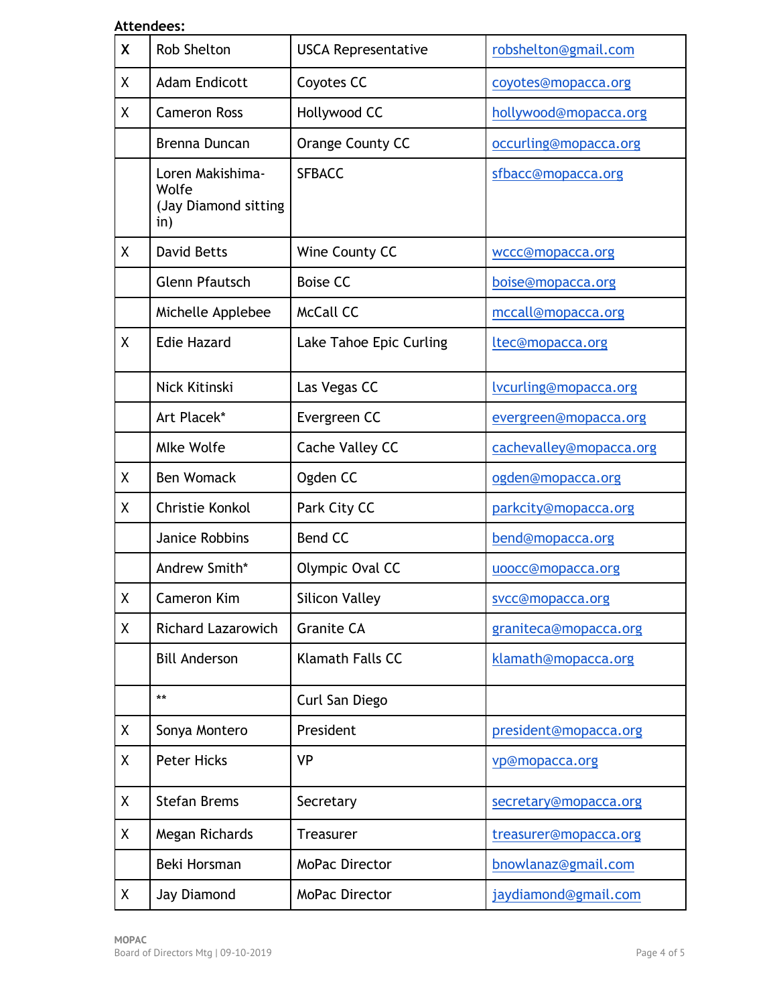### **Attendees:**

| X | <b>Rob Shelton</b>                                       | <b>USCA Representative</b> | robshelton@gmail.com    |
|---|----------------------------------------------------------|----------------------------|-------------------------|
| χ | <b>Adam Endicott</b>                                     | Coyotes CC                 | coyotes@mopacca.org     |
| χ | <b>Cameron Ross</b>                                      | Hollywood CC               | hollywood@mopacca.org   |
|   | Brenna Duncan                                            | Orange County CC           | occurling@mopacca.org   |
|   | Loren Makishima-<br>Wolfe<br>(Jay Diamond sitting<br>in) | <b>SFBACC</b>              | sfbacc@mopacca.org      |
| X | <b>David Betts</b>                                       | Wine County CC             | wccc@mopacca.org        |
|   | <b>Glenn Pfautsch</b>                                    | <b>Boise CC</b>            | boise@mopacca.org       |
|   | Michelle Applebee                                        | <b>McCall CC</b>           | mccall@mopacca.org      |
| X | <b>Edie Hazard</b>                                       | Lake Tahoe Epic Curling    | ltec@mopacca.org        |
|   | Nick Kitinski                                            | Las Vegas CC               | lvcurling@mopacca.org   |
|   | Art Placek*                                              | Evergreen CC               | evergreen@mopacca.org   |
|   | <b>Mlke Wolfe</b>                                        | Cache Valley CC            | cachevalley@mopacca.org |
| χ | <b>Ben Womack</b>                                        | Ogden CC                   | ogden@mopacca.org       |
| X | Christie Konkol                                          | Park City CC               | parkcity@mopacca.org    |
|   | <b>Janice Robbins</b>                                    | <b>Bend CC</b>             | bend@mopacca.org        |
|   | Andrew Smith*                                            | Olympic Oval CC            | uoocc@mopacca.org       |
| Χ | Cameron Kim                                              | <b>Silicon Valley</b>      | svcc@mopacca.org        |
| χ | <b>Richard Lazarowich</b>                                | <b>Granite CA</b>          | graniteca@mopacca.org   |
|   | <b>Bill Anderson</b>                                     | <b>Klamath Falls CC</b>    | klamath@mopacca.org     |
|   | $***$                                                    | Curl San Diego             |                         |
| χ | Sonya Montero                                            | President                  | president@mopacca.org   |
| Χ | <b>Peter Hicks</b>                                       | <b>VP</b>                  | vp@mopacca.org          |
| Χ | <b>Stefan Brems</b>                                      | Secretary                  | secretary@mopacca.org   |
| Χ | Megan Richards                                           | <b>Treasurer</b>           | treasurer@mopacca.org   |
|   | Beki Horsman                                             | MoPac Director             | bnowlanaz@gmail.com     |
| X | Jay Diamond                                              | <b>MoPac Director</b>      | jaydiamond@gmail.com    |